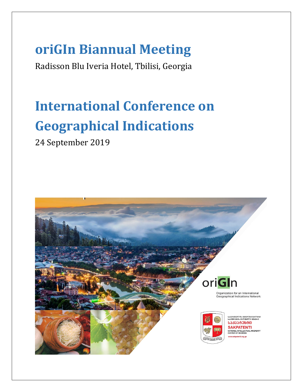## **oriGIn Biannual Meeting**

Radisson Blu Iveria Hotel, Tbilisi, Georgia

# **International Conference on Geographical Indications**

24 September 2019

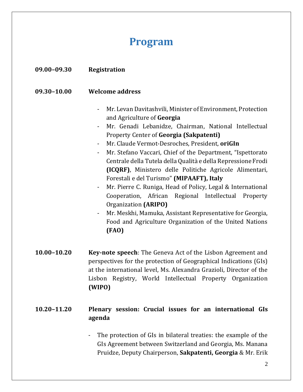### **Program**

#### **09.00–09.30 Registration**

#### **09.30–10.00 Welcome address**

- Mr. Levan Davitashvili, Minister of Environment, Protection and Agriculture of **Georgia**
- Mr. Genadi Lebanidze, Chairman, National Intellectual Property Center of **Georgia (Sakpatenti)**
- Mr. Claude Vermot-Desroches, President, **oriGIn**
- Mr. Stefano Vaccari, Chief of the Department, "Ispettorato Centrale della Tutela della Qualità e della Repressione Frodi **(ICQRF)**, Ministero delle Politiche Agricole Alimentari, Forestali e del Turismo" **(MIPAAFT), Italy**
- Mr. Pierre C. Runiga, Head of Policy, Legal & International Cooperation, African Regional Intellectual Property Organization **(ARIPO)**
- Mr. Meskhi, Mamuka, Assistant Representative for Georgia, Food and Agriculture Organization of the United Nations **(FAO)**
- **10.00–10.20 Key-note speech**: The Geneva Act of the Lisbon Agreement and perspectives for the protection of Geographical Indications (GIs) at the international level, Ms. Alexandra Grazioli, Director of the Lisbon Registry, World Intellectual Property Organization **(WIPO)**

#### **10.20–11.20 Plenary session: Crucial issues for an international GIs agenda**

The protection of GIs in bilateral treaties: the example of the GIs Agreement between Switzerland and Georgia, Ms. Manana Pruidze, Deputy Chairperson, **Sakpatenti, Georgia** & Mr. Erik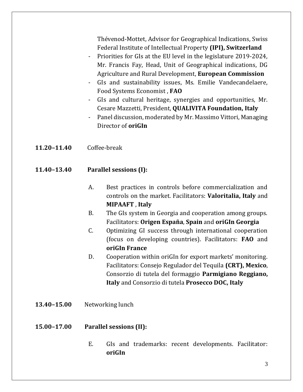Thévenod-Mottet, Advisor for Geographical Indications, Swiss Federal Institute of Intellectual Property **(IPI), Switzerland** 

- Priorities for GIs at the EU level in the legislature 2019-2024, Mr. Francis Fay, Head, Unit of Geographical indications, DG Agriculture and Rural Development, **European Commission**
- GIs and sustainability issues, Ms. Emilie Vandecandelaere, Food Systems Economist , **FAO**
- GIs and cultural heritage, synergies and opportunities, Mr. Cesare Mazzetti, President, **QUALIVITA Foundation, Italy**
- Panel discussion, moderated by Mr. Massimo Vittori, Managing Director of **oriGIn**
- **11.20–11.40** Coffee-break
- **11.40–13.40 Parallel sessions (I):**
	- A. Best practices in controls before commercialization and controls on the market. Facilitators: **Valoritalia, Italy** and **MIPAAFT** , **Italy**
	- B. The GIs system in Georgia and cooperation among groups. Facilitators: **Origen España**, **Spain** and **oriGIn Georgia**
	- C. Optimizing GI success through international cooperation (focus on developing countries). Facilitators: **FAO** and **oriGIn France**
	- D. Cooperation within oriGIn for export markets' monitoring. Facilitators: Consejo Regulador del Tequila **(CRT), Mexico**, Consorzio di tutela del formaggio **Parmigiano Reggiano, Italy** and Consorzio di tutela **Prosecco DOC, Italy**
- **13.40–15.00** Networking lunch

#### **15.00–17.00 Parallel sessions (II):**

E. GIs and trademarks: recent developments. Facilitator: **oriGIn**